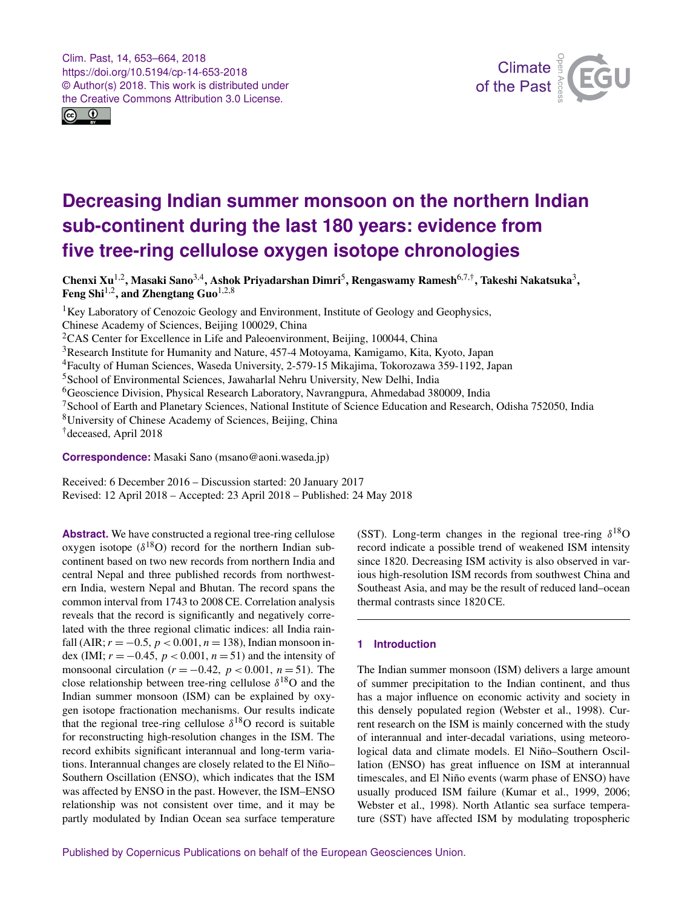<span id="page-0-1"></span>Clim. Past, 14, 653–664, 2018 https://doi.org/10.5194/cp-14-653-2018 © Author(s) 2018. This work is distributed under the Creative Commons Attribution 3.0 License.





# **Decreasing Indian summer monsoon on the northern Indian sub-continent during the last 180 years: evidence from five tree-ring cellulose oxygen isotope chronologies**

Chenxi Xu<sup>[1,2](#page-0-0)</sup>, Masaki Sano<sup>[3,4](#page-0-0)</sup>, Ashok Priyadarshan Dimri<sup>[5](#page-0-0)</sup>, Rengaswamy Ramesh<sup>[6,7,†](#page-0-0)</sup>, Takeshi Nakatsuka<sup>[3](#page-0-0)</sup>, Feng Shi<sup>[1,2](#page-0-0)</sup>, and Zhengtang Guo<sup>[1,2,8](#page-0-0)</sup>

<sup>1</sup>Key Laboratory of Cenozoic Geology and Environment, Institute of Geology and Geophysics, Chinese Academy of Sciences, Beijing 100029, China <sup>2</sup>CAS Center for Excellence in Life and Paleoenvironment, Beijing, 100044, China <sup>3</sup>Research Institute for Humanity and Nature, 457-4 Motoyama, Kamigamo, Kita, Kyoto, Japan <sup>4</sup>Faculty of Human Sciences, Waseda University, 2-579-15 Mikajima, Tokorozawa 359-1192, Japan <sup>5</sup>School of Environmental Sciences, Jawaharlal Nehru University, New Delhi, India <sup>6</sup>Geoscience Division, Physical Research Laboratory, Navrangpura, Ahmedabad 380009, India <sup>7</sup>School of Earth and Planetary Sciences, National Institute of Science Education and Research, Odisha 752050, India <sup>8</sup>University of Chinese Academy of Sciences, Beijing, China †deceased, April 2018

**Correspondence:** Masaki Sano (msano@aoni.waseda.jp)

Received: 6 December 2016 – Discussion started: 20 January 2017 Revised: 12 April 2018 – Accepted: 23 April 2018 – Published: 24 May 2018

<span id="page-0-0"></span>Abstract. We have constructed a regional tree-ring cellulose oxygen isotope  $(\delta^{18}O)$  record for the northern Indian subcontinent based on two new records from northern India and central Nepal and three published records from northwestern India, western Nepal and Bhutan. The record spans the common interval from 1743 to 2008 CE. Correlation analysis reveals that the record is significantly and negatively correlated with the three regional climatic indices: all India rainfall (AIR;  $r = -0.5$ ,  $p < 0.001$ ,  $n = 138$ ), Indian monsoon index (IMI;  $r = -0.45$ ,  $p < 0.001$ ,  $n = 51$ ) and the intensity of monsoonal circulation ( $r = -0.42$ ,  $p < 0.001$ ,  $n = 51$ ). The close relationship between tree-ring cellulose  $\delta^{18}O$  and the Indian summer monsoon (ISM) can be explained by oxygen isotope fractionation mechanisms. Our results indicate that the regional tree-ring cellulose  $\delta^{18}$ O record is suitable for reconstructing high-resolution changes in the ISM. The record exhibits significant interannual and long-term variations. Interannual changes are closely related to the El Niño– Southern Oscillation (ENSO), which indicates that the ISM was affected by ENSO in the past. However, the ISM–ENSO relationship was not consistent over time, and it may be partly modulated by Indian Ocean sea surface temperature

(SST). Long-term changes in the regional tree-ring  $\delta^{18}$ O record indicate a possible trend of weakened ISM intensity since 1820. Decreasing ISM activity is also observed in various high-resolution ISM records from southwest China and Southeast Asia, and may be the result of reduced land–ocean thermal contrasts since 1820 CE.

## **1 Introduction**

The Indian summer monsoon (ISM) delivers a large amount of summer precipitation to the Indian continent, and thus has a major influence on economic activity and society in this densely populated region (Webster et al., 1998). Current research on the ISM is mainly concerned with the study of interannual and inter-decadal variations, using meteorological data and climate models. El Niño–Southern Oscillation (ENSO) has great influence on ISM at interannual timescales, and El Niño events (warm phase of ENSO) have usually produced ISM failure (Kumar et al., 1999, 2006; Webster et al., 1998). North Atlantic sea surface temperature (SST) have affected ISM by modulating tropospheric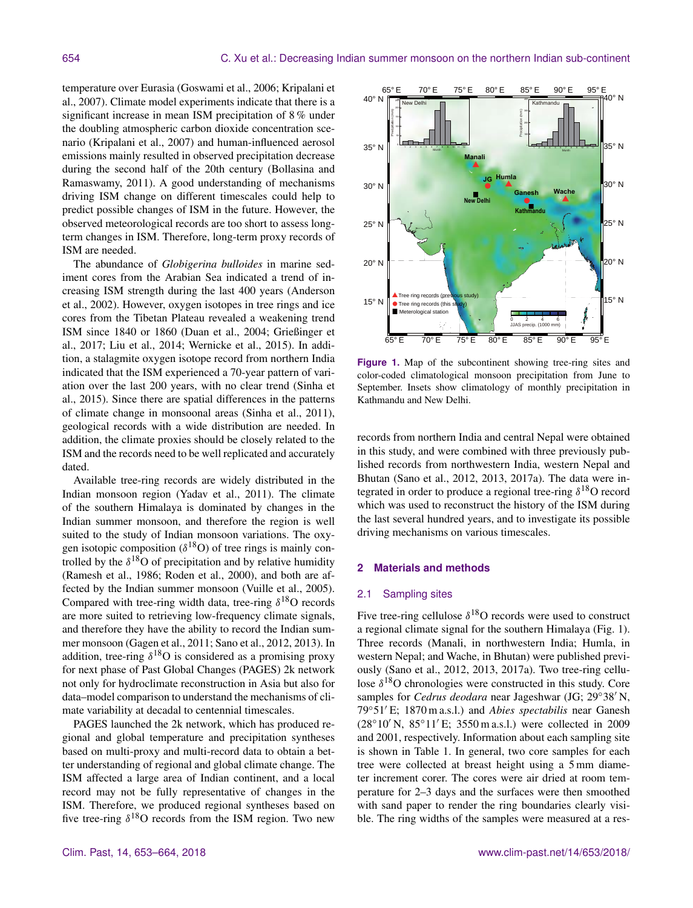temperature over Eurasia (Goswami et al., 2006; Kripalani et al., 2007). Climate model experiments indicate that there is a significant increase in mean ISM precipitation of 8 % under the doubling atmospheric carbon dioxide concentration scenario (Kripalani et al., 2007) and human-influenced aerosol emissions mainly resulted in observed precipitation decrease during the second half of the 20th century (Bollasina and Ramaswamy, 2011). A good understanding of mechanisms driving ISM change on different timescales could help to predict possible changes of ISM in the future. However, the observed meteorological records are too short to assess longterm changes in ISM. Therefore, long-term proxy records of ISM are needed.

The abundance of *Globigerina bulloides* in marine sediment cores from the Arabian Sea indicated a trend of increasing ISM strength during the last 400 years (Anderson et al., 2002). However, oxygen isotopes in tree rings and ice cores from the Tibetan Plateau revealed a weakening trend ISM since 1840 or 1860 (Duan et al., 2004; Grießinger et al., 2017; Liu et al., 2014; Wernicke et al., 2015). In addition, a stalagmite oxygen isotope record from northern India indicated that the ISM experienced a 70-year pattern of variation over the last 200 years, with no clear trend (Sinha et al., 2015). Since there are spatial differences in the patterns of climate change in monsoonal areas (Sinha et al., 2011), geological records with a wide distribution are needed. In addition, the climate proxies should be closely related to the ISM and the records need to be well replicated and accurately dated.

Available tree-ring records are widely distributed in the Indian monsoon region (Yadav et al., 2011). The climate of the southern Himalaya is dominated by changes in the Indian summer monsoon, and therefore the region is well suited to the study of Indian monsoon variations. The oxygen isotopic composition ( $\delta^{18}$ O) of tree rings is mainly controlled by the  $\delta^{18}$ O of precipitation and by relative humidity (Ramesh et al., 1986; Roden et al., 2000), and both are affected by the Indian summer monsoon (Vuille et al., 2005). Compared with tree-ring width data, tree-ring  $\delta^{18}O$  records are more suited to retrieving low-frequency climate signals, and therefore they have the ability to record the Indian summer monsoon (Gagen et al., 2011; Sano et al., 2012, 2013). In addition, tree-ring  $\delta^{18}O$  is considered as a promising proxy for next phase of Past Global Changes (PAGES) 2k network not only for hydroclimate reconstruction in Asia but also for data–model comparison to understand the mechanisms of climate variability at decadal to centennial timescales.

PAGES launched the 2k network, which has produced regional and global temperature and precipitation syntheses based on multi-proxy and multi-record data to obtain a better understanding of regional and global climate change. The ISM affected a large area of Indian continent, and a local record may not be fully representative of changes in the ISM. Therefore, we produced regional syntheses based on five tree-ring  $\delta^{18}$ O records from the ISM region. Two new



Figure 1. Map of the subcontinent showing tree-ring sites and color-coded climatological monsoon precipitation from June to September. Insets show climatology of monthly precipitation in Kathmandu and New Delhi.

records from northern India and central Nepal were obtained in this study, and were combined with three previously published records from northwestern India, western Nepal and Bhutan (Sano et al., 2012, 2013, 2017a). The data were integrated in order to produce a regional tree-ring  $\delta^{18}O$  record which was used to reconstruct the history of the ISM during the last several hundred years, and to investigate its possible driving mechanisms on various timescales.

#### **2 Materials and methods**

#### 2.1 Sampling sites

Five tree-ring cellulose  $\delta^{18}$ O records were used to construct a regional climate signal for the southern Himalaya (Fig. 1). Three records (Manali, in northwestern India; Humla, in western Nepal; and Wache, in Bhutan) were published previously (Sano et al., 2012, 2013, 2017a). Two tree-ring cellulose  $\delta^{18}$ O chronologies were constructed in this study. Core samples for *Cedrus deodara* near Jageshwar (JG; 29°38'N, 79°51′E; 1870 m a.s.l.) and *Abies spectabilis* near Ganesh  $(28°10' N, 85°11' E; 3550 m a.s.l.)$  were collected in 2009 and 2001, respectively. Information about each sampling site is shown in Table 1. In general, two core samples for each tree were collected at breast height using a 5 mm diameter increment corer. The cores were air dried at room temperature for 2–3 days and the surfaces were then smoothed with sand paper to render the ring boundaries clearly visible. The ring widths of the samples were measured at a res-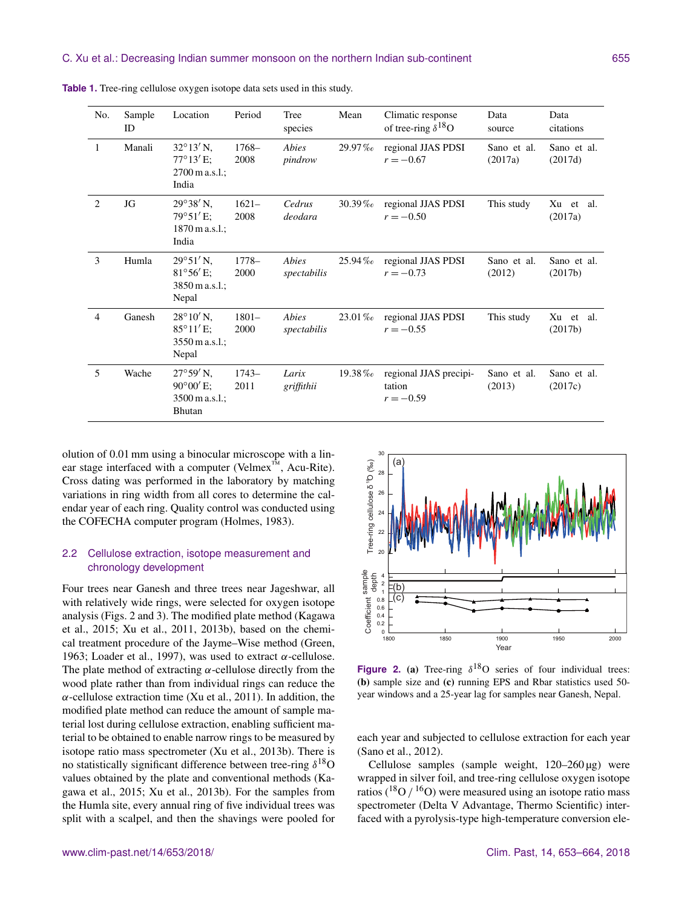| No.            | Sample<br>ID | Location                                                                         | Period           | Tree<br>species      | Mean      | Climatic response<br>of tree-ring $\delta^{18}O$ | Data<br>source         | Data<br>citations       |
|----------------|--------------|----------------------------------------------------------------------------------|------------------|----------------------|-----------|--------------------------------------------------|------------------------|-------------------------|
| 1              | Manali       | $32^{\circ}13'$ N,<br>$77^{\circ}13'$ E;<br>$2700 \text{ m a.s.}$<br>India       | $1768-$<br>2008  | Abies<br>pindrow     | $29.97\%$ | regional JJAS PDSI<br>$r = -0.67$                | Sano et al.<br>(2017a) | Sano et al.<br>(2017d)  |
| 2              | JG           | $29^{\circ}38'$ N,<br>$79^{\circ}51'$ E;<br>$1870 \,\mathrm{m}$ a.s.l.;<br>India | $1621-$<br>2008  | Cedrus<br>deodara    | $30.39\%$ | regional JJAS PDSI<br>$r = -0.50$                | This study             | Xu et al.<br>(2017a)    |
| 3              | Humla        | $29^{\circ}51'$ N,<br>$81^{\circ}56'$ E;<br>3850 m a.s.l.;<br>Nepal              | $1778-$<br>2000  | Abies<br>spectabilis | $25.94\%$ | regional JJAS PDSI<br>$r = -0.73$                | Sano et al.<br>(2012)  | Sano et al.<br>(2017b)  |
| $\overline{4}$ | Ganesh       | $28^{\circ}10'$ N,<br>$85^{\circ}11'E$<br>$3550 \,\mathrm{m}$ a.s.l.;<br>Nepal   | $1801 -$<br>2000 | Abies<br>spectabilis | $23.01\%$ | regional JJAS PDSI<br>$r = -0.55$                | This study             | Xu<br>et al.<br>(2017b) |
| 5              | Wache        | $27^{\circ}59'$ N,<br>$90^{\circ}00'$ E:<br>3500 m a.s.l.;<br><b>Bhutan</b>      | $1743-$<br>2011  | Larix<br>griffithii  | 19.38%    | regional JJAS precipi-<br>tation<br>$r = -0.59$  | Sano et al.<br>(2013)  | Sano et al.<br>(2017c)  |

**Table 1.** Tree-ring cellulose oxygen isotope data sets used in this study.

olution of 0.01 mm using a binocular microscope with a linear stage interfaced with a computer (Velmex™, Acu-Rite). Cross dating was performed in the laboratory by matching variations in ring width from all cores to determine the calendar year of each ring. Quality control was conducted using the COFECHA computer program (Holmes, 1983).

## 2.2 Cellulose extraction, isotope measurement and chronology development

Four trees near Ganesh and three trees near Jageshwar, all with relatively wide rings, were selected for oxygen isotope analysis (Figs. 2 and 3). The modified plate method (Kagawa et al., 2015; Xu et al., 2011, 2013b), based on the chemical treatment procedure of the Jayme–Wise method (Green, 1963; Loader et al., 1997), was used to extract  $\alpha$ -cellulose. The plate method of extracting  $\alpha$ -cellulose directly from the wood plate rather than from individual rings can reduce the  $\alpha$ -cellulose extraction time (Xu et al., 2011). In addition, the modified plate method can reduce the amount of sample material lost during cellulose extraction, enabling sufficient material to be obtained to enable narrow rings to be measured by isotope ratio mass spectrometer (Xu et al., 2013b). There is no statistically significant difference between tree-ring  $\delta^{18}O$ values obtained by the plate and conventional methods (Kagawa et al., 2015; Xu et al., 2013b). For the samples from the Humla site, every annual ring of five individual trees was split with a scalpel, and then the shavings were pooled for



**Figure 2.** (a) Tree-ring  $\delta^{18}O$  series of four individual trees: (b) sample size and (c) running EPS and Rbar statistics used 50 year windows and a 25-year lag for samples near Ganesh, Nepal.

each year and subjected to cellulose extraction for each year (Sano et al., 2012).

Cellulose samples (sample weight,  $120-260 \,\mu$ g) were wrapped in silver foil, and tree-ring cellulose oxygen isotope ratios ( $^{18}$ O /  $^{16}$ O) were measured using an isotope ratio mass spectrometer (Delta V Advantage, Thermo Scientific) interfaced with a pyrolysis-type high-temperature conversion ele-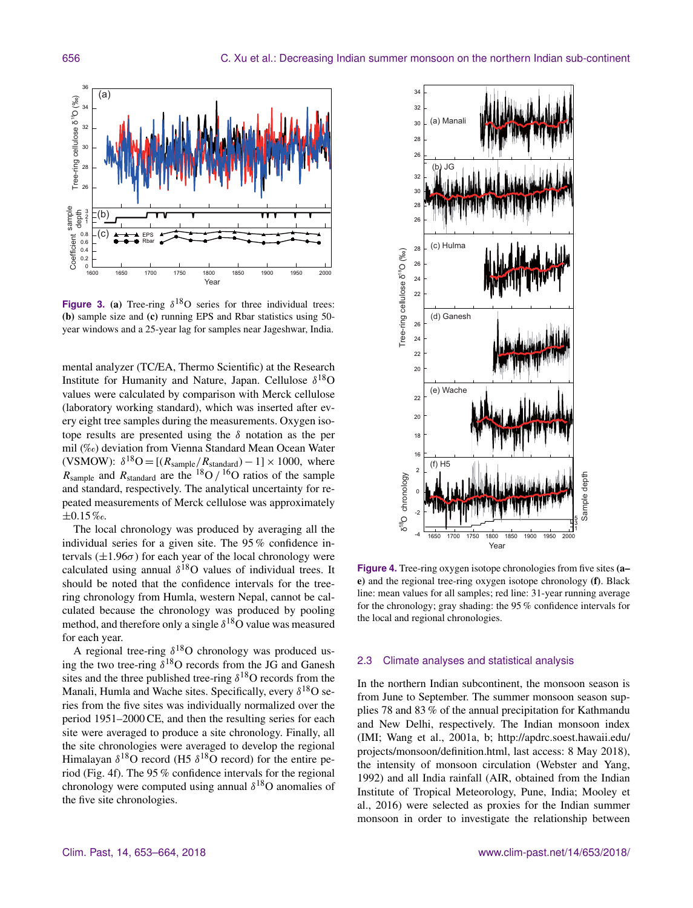

**Figure 3.** (a) Tree-ring  $\delta^{18}O$  series for three individual trees: (b) sample size and (c) running EPS and Rbar statistics using 50 year windows and a 25-year lag for samples near Jageshwar, India.

mental analyzer (TC/EA, Thermo Scientific) at the Research Institute for Humanity and Nature, Japan. Cellulose  $\delta^{18}O$ values were calculated by comparison with Merck cellulose (laboratory working standard), which was inserted after every eight tree samples during the measurements. Oxygen isotope results are presented using the  $\delta$  notation as the per mil (‰) deviation from Vienna Standard Mean Ocean Water (VSMOW):  $\delta^{18}O = [(R_{\text{sample}}/R_{\text{standard}}) - 1] \times 1000$ , where  $R_{sample}$  and  $R_{standard}$  are the <sup>18</sup>O / <sup>16</sup>O ratios of the sample and standard, respectively. The analytical uncertainty for repeated measurements of Merck cellulose was approximately ±0.15 ‰.

The local chronology was produced by averaging all the individual series for a given site. The 95 % confidence intervals  $(\pm 1.96\sigma)$  for each year of the local chronology were calculated using annual  $\delta^{18}O$  values of individual trees. It should be noted that the confidence intervals for the treering chronology from Humla, western Nepal, cannot be calculated because the chronology was produced by pooling method, and therefore only a single  $\delta^{18}$ O value was measured for each year.

A regional tree-ring  $\delta^{18}O$  chronology was produced using the two tree-ring  $\delta^{18}O$  records from the JG and Ganesh sites and the three published tree-ring  $\delta^{18}$ O records from the Manali, Humla and Wache sites. Specifically, every  $\delta^{18}O$  series from the five sites was individually normalized over the period 1951–2000 CE, and then the resulting series for each site were averaged to produce a site chronology. Finally, all the site chronologies were averaged to develop the regional Himalayan  $\delta^{18}O$  record (H5  $\delta^{18}O$  record) for the entire period (Fig. 4f). The 95 % confidence intervals for the regional chronology were computed using annual  $\delta^{18}$ O anomalies of the five site chronologies.



**Figure 4.** Tree-ring oxygen isotope chronologies from five sites (a– e) and the regional tree-ring oxygen isotope chronology (f). Black line: mean values for all samples; red line: 31-year running average for the chronology; gray shading: the 95 % confidence intervals for the local and regional chronologies.

## 2.3 Climate analyses and statistical analysis

In the northern Indian subcontinent, the monsoon season is from June to September. The summer monsoon season supplies 78 and 83 % of the annual precipitation for Kathmandu and New Delhi, respectively. The Indian monsoon index (IMI; Wang et al., 2001a, b; [http://apdrc.soest.hawaii.edu/](http://apdrc.soest.hawaii.edu/projects/monsoon/definition.html) [projects/monsoon/definition.html,](http://apdrc.soest.hawaii.edu/projects/monsoon/definition.html) last access: 8 May 2018), the intensity of monsoon circulation (Webster and Yang, 1992) and all India rainfall (AIR, obtained from the Indian Institute of Tropical Meteorology, Pune, India; Mooley et al., 2016) were selected as proxies for the Indian summer monsoon in order to investigate the relationship between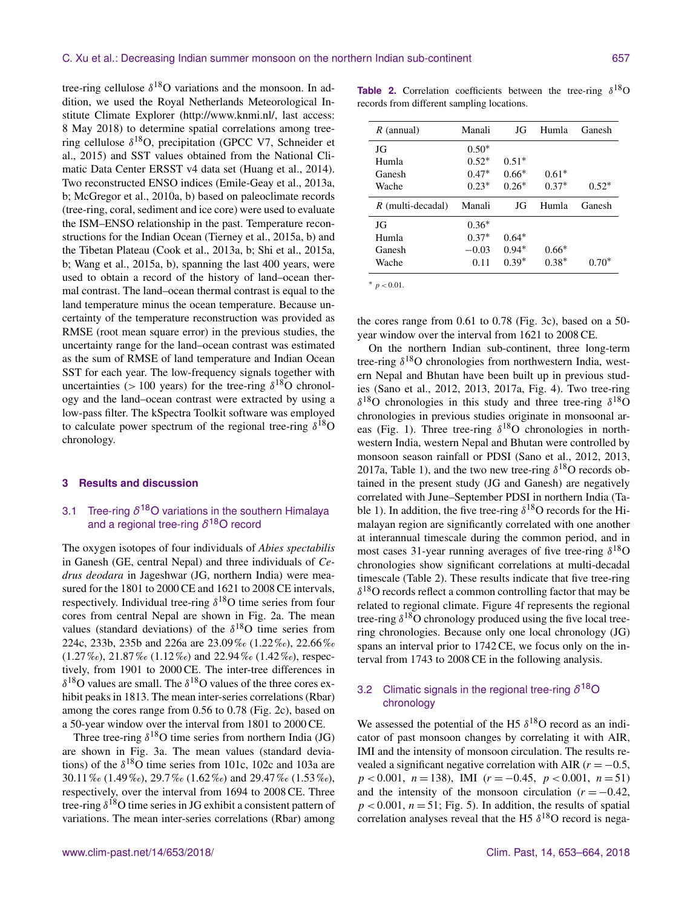tree-ring cellulose  $\delta^{18}$ O variations and the monsoon. In addition, we used the Royal Netherlands Meteorological Institute Climate Explorer [\(http://www.knmi.nl/,](http://www.knmi.nl/) last access: 8 May 2018) to determine spatial correlations among treering cellulose  $\delta^{18}O$ , precipitation (GPCC V7, Schneider et al., 2015) and SST values obtained from the National Climatic Data Center ERSST v4 data set (Huang et al., 2014). Two reconstructed ENSO indices (Emile-Geay et al., 2013a, b; McGregor et al., 2010a, b) based on paleoclimate records (tree-ring, coral, sediment and ice core) were used to evaluate the ISM–ENSO relationship in the past. Temperature reconstructions for the Indian Ocean (Tierney et al., 2015a, b) and the Tibetan Plateau (Cook et al., 2013a, b; Shi et al., 2015a, b; Wang et al., 2015a, b), spanning the last 400 years, were used to obtain a record of the history of land–ocean thermal contrast. The land–ocean thermal contrast is equal to the land temperature minus the ocean temperature. Because uncertainty of the temperature reconstruction was provided as RMSE (root mean square error) in the previous studies, the uncertainty range for the land–ocean contrast was estimated as the sum of RMSE of land temperature and Indian Ocean SST for each year. The low-frequency signals together with uncertainties ( $> 100$  years) for the tree-ring  $\delta^{18}$ O chronology and the land–ocean contrast were extracted by using a low-pass filter. The kSpectra Toolkit software was employed to calculate power spectrum of the regional tree-ring  $\delta^{18}O$ chronology.

#### **3 Results and discussion**

## 3.1 Tree-ring *δ* <sup>18</sup>O variations in the southern Himalaya and a regional tree-ring *δ* <sup>18</sup>O record

The oxygen isotopes of four individuals of *Abies spectabilis* in Ganesh (GE, central Nepal) and three individuals of *Cedrus deodara* in Jageshwar (JG, northern India) were measured for the 1801 to 2000 CE and 1621 to 2008 CE intervals, respectively. Individual tree-ring  $\delta^{18}O$  time series from four cores from central Nepal are shown in Fig. 2a. The mean values (standard deviations) of the  $\delta^{18}$ O time series from 224c, 233b, 235b and 226a are 23.09 ‰ (1.22 ‰), 22.66 ‰  $(1.27\%, 21.87\%, (1.12\%),$  and  $22.94\%$  (1.42%), respectively, from 1901 to 2000 CE. The inter-tree differences in  $\delta^{18}$ O values are small. The  $\delta^{18}$ O values of the three cores exhibit peaks in 1813. The mean inter-series correlations (Rbar) among the cores range from 0.56 to 0.78 (Fig. 2c), based on a 50-year window over the interval from 1801 to 2000 CE.

Three tree-ring  $\delta^{18}O$  time series from northern India (JG) are shown in Fig. 3a. The mean values (standard deviations) of the  $\delta^{18}$ O time series from 101c, 102c and 103a are 30.11 ‰ (1.49 ‰), 29.7 ‰ (1.62 ‰) and 29.47 ‰ (1.53 ‰), respectively, over the interval from 1694 to 2008 CE. Three tree-ring  $\delta^{18}O$  time series in JG exhibit a consistent pattern of variations. The mean inter-series correlations (Rbar) among

**Table 2.** Correlation coefficients between the tree-ring  $\delta^{18}$ O records from different sampling locations.

| $R$ (annual)        | Manali  | JG      | Humla   | Ganesh  |
|---------------------|---------|---------|---------|---------|
| JG                  | $0.50*$ |         |         |         |
| Humla               | $0.52*$ | $0.51*$ |         |         |
| Ganesh              | $0.47*$ | $0.66*$ | $0.61*$ |         |
| Wache               | $0.23*$ | $0.26*$ | $0.37*$ | $0.52*$ |
| $R$ (multi-decadal) | Manali  | JG      | Humla   | Ganesh  |
| JG                  | $0.36*$ |         |         |         |
| Humla               | $0.37*$ | $0.64*$ |         |         |
| Ganesh              | $-0.03$ | $0.94*$ | $0.66*$ |         |
| Wache               | 0.11    | $0.39*$ | $0.38*$ | $0.70*$ |

<sup>∗</sup> p < 0.01.

the cores range from 0.61 to 0.78 (Fig. 3c), based on a 50 year window over the interval from 1621 to 2008 CE.

On the northern Indian sub-continent, three long-term tree-ring  $\delta^{18}$ O chronologies from northwestern India, western Nepal and Bhutan have been built up in previous studies (Sano et al., 2012, 2013, 2017a, Fig. 4). Two tree-ring  $\delta^{18}$ O chronologies in this study and three tree-ring  $\delta^{18}$ O chronologies in previous studies originate in monsoonal areas (Fig. 1). Three tree-ring  $\delta^{18}$ O chronologies in northwestern India, western Nepal and Bhutan were controlled by monsoon season rainfall or PDSI (Sano et al., 2012, 2013, 2017a, Table 1), and the two new tree-ring  $\delta^{18}$ O records obtained in the present study (JG and Ganesh) are negatively correlated with June–September PDSI in northern India (Table 1). In addition, the five tree-ring  $\delta^{18}$ O records for the Himalayan region are significantly correlated with one another at interannual timescale during the common period, and in most cases 31-year running averages of five tree-ring  $\delta^{18}O$ chronologies show significant correlations at multi-decadal timescale (Table 2). These results indicate that five tree-ring  $\delta^{18}$ O records reflect a common controlling factor that may be related to regional climate. Figure 4f represents the regional tree-ring  $\delta^{18}$ O chronology produced using the five local treering chronologies. Because only one local chronology (JG) spans an interval prior to 1742 CE, we focus only on the interval from 1743 to 2008 CE in the following analysis.

## 3.2 Climatic signals in the regional tree-ring *δ* <sup>18</sup>O chronology

We assessed the potential of the H5  $\delta^{18}$ O record as an indicator of past monsoon changes by correlating it with AIR, IMI and the intensity of monsoon circulation. The results revealed a significant negative correlation with AIR ( $r = -0.5$ ,  $p < 0.001$ ,  $n = 138$ ), IMI ( $r = -0.45$ ,  $p < 0.001$ ,  $n = 51$ ) and the intensity of the monsoon circulation  $(r = -0.42)$ ,  $p < 0.001$ ,  $n = 51$ ; Fig. 5). In addition, the results of spatial correlation analyses reveal that the H5  $\delta^{18}$ O record is nega-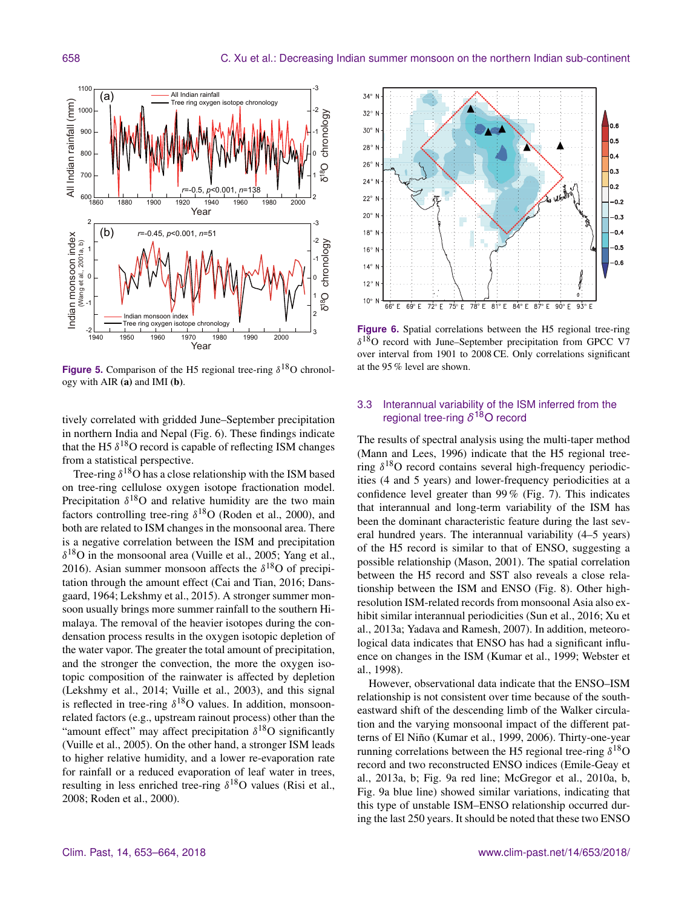

**Figure 5.** Comparison of the H5 regional tree-ring  $\delta^{18}$ O chronology with AIR (a) and IMI (b).

tively correlated with gridded June–September precipitation in northern India and Nepal (Fig. 6). These findings indicate that the H5  $\delta^{18}$ O record is capable of reflecting ISM changes from a statistical perspective.

Tree-ring  $\delta^{18}O$  has a close relationship with the ISM based on tree-ring cellulose oxygen isotope fractionation model. Precipitation  $\delta^{18}$ O and relative humidity are the two main factors controlling tree-ring  $\delta^{18}O$  (Roden et al., 2000), and both are related to ISM changes in the monsoonal area. There is a negative correlation between the ISM and precipitation  $\delta^{18}$ O in the monsoonal area (Vuille et al., 2005; Yang et al., 2016). Asian summer monsoon affects the  $\delta^{18}$ O of precipitation through the amount effect (Cai and Tian, 2016; Dansgaard, 1964; Lekshmy et al., 2015). A stronger summer monsoon usually brings more summer rainfall to the southern Himalaya. The removal of the heavier isotopes during the condensation process results in the oxygen isotopic depletion of the water vapor. The greater the total amount of precipitation, and the stronger the convection, the more the oxygen isotopic composition of the rainwater is affected by depletion (Lekshmy et al., 2014; Vuille et al., 2003), and this signal is reflected in tree-ring  $\delta^{18}O$  values. In addition, monsoonrelated factors (e.g., upstream rainout process) other than the "amount effect" may affect precipitation  $\delta^{18}O$  significantly (Vuille et al., 2005). On the other hand, a stronger ISM leads to higher relative humidity, and a lower re-evaporation rate for rainfall or a reduced evaporation of leaf water in trees, resulting in less enriched tree-ring  $\delta^{18}O$  values (Risi et al., 2008; Roden et al., 2000).



**Figure 6.** Spatial correlations between the H5 regional tree-ring δ <sup>18</sup>O record with June–September precipitation from GPCC V7 over interval from 1901 to 2008 CE. Only correlations significant at the 95 % level are shown.

## 3.3 Interannual variability of the ISM inferred from the regional tree-ring *δ* <sup>18</sup>O record

The results of spectral analysis using the multi-taper method (Mann and Lees, 1996) indicate that the H5 regional treering  $\delta^{18}$ O record contains several high-frequency periodicities (4 and 5 years) and lower-frequency periodicities at a confidence level greater than 99 % (Fig. 7). This indicates that interannual and long-term variability of the ISM has been the dominant characteristic feature during the last several hundred years. The interannual variability (4–5 years) of the H5 record is similar to that of ENSO, suggesting a possible relationship (Mason, 2001). The spatial correlation between the H5 record and SST also reveals a close relationship between the ISM and ENSO (Fig. 8). Other highresolution ISM-related records from monsoonal Asia also exhibit similar interannual periodicities (Sun et al., 2016; Xu et al., 2013a; Yadava and Ramesh, 2007). In addition, meteorological data indicates that ENSO has had a significant influence on changes in the ISM (Kumar et al., 1999; Webster et al., 1998).

However, observational data indicate that the ENSO–ISM relationship is not consistent over time because of the southeastward shift of the descending limb of the Walker circulation and the varying monsoonal impact of the different patterns of El Niño (Kumar et al., 1999, 2006). Thirty-one-year running correlations between the H5 regional tree-ring  $\delta^{18}O$ record and two reconstructed ENSO indices (Emile-Geay et al., 2013a, b; Fig. 9a red line; McGregor et al., 2010a, b, Fig. 9a blue line) showed similar variations, indicating that this type of unstable ISM–ENSO relationship occurred during the last 250 years. It should be noted that these two ENSO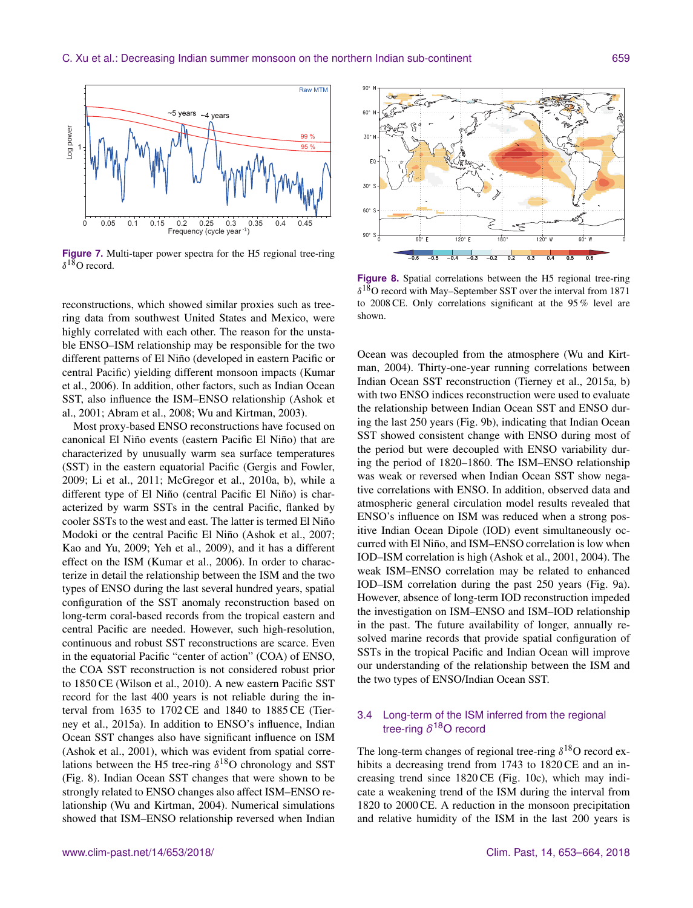

Figure 7. Multi-taper power spectra for the H5 regional tree-ring  $\delta^{18}$ O record.

reconstructions, which showed similar proxies such as treering data from southwest United States and Mexico, were highly correlated with each other. The reason for the unstable ENSO–ISM relationship may be responsible for the two different patterns of El Niño (developed in eastern Pacific or central Pacific) yielding different monsoon impacts (Kumar et al., 2006). In addition, other factors, such as Indian Ocean SST, also influence the ISM–ENSO relationship (Ashok et al., 2001; Abram et al., 2008; Wu and Kirtman, 2003).

Most proxy-based ENSO reconstructions have focused on canonical El Niño events (eastern Pacific El Niño) that are characterized by unusually warm sea surface temperatures (SST) in the eastern equatorial Pacific (Gergis and Fowler, 2009; Li et al., 2011; McGregor et al., 2010a, b), while a different type of El Niño (central Pacific El Niño) is characterized by warm SSTs in the central Pacific, flanked by cooler SSTs to the west and east. The latter is termed El Niño Modoki or the central Pacific El Niño (Ashok et al., 2007; Kao and Yu, 2009; Yeh et al., 2009), and it has a different effect on the ISM (Kumar et al., 2006). In order to characterize in detail the relationship between the ISM and the two types of ENSO during the last several hundred years, spatial configuration of the SST anomaly reconstruction based on long-term coral-based records from the tropical eastern and central Pacific are needed. However, such high-resolution, continuous and robust SST reconstructions are scarce. Even in the equatorial Pacific "center of action" (COA) of ENSO, the COA SST reconstruction is not considered robust prior to 1850 CE (Wilson et al., 2010). A new eastern Pacific SST record for the last 400 years is not reliable during the interval from 1635 to 1702 CE and 1840 to 1885 CE (Tierney et al., 2015a). In addition to ENSO's influence, Indian Ocean SST changes also have significant influence on ISM (Ashok et al., 2001), which was evident from spatial correlations between the H5 tree-ring  $\delta^{18}$ O chronology and SST (Fig. 8). Indian Ocean SST changes that were shown to be strongly related to ENSO changes also affect ISM–ENSO relationship (Wu and Kirtman, 2004). Numerical simulations showed that ISM–ENSO relationship reversed when Indian



**Figure 8.** Spatial correlations between the H5 regional tree-ring  $\delta^{18}$ O record with May–September SST over the interval from 1871 to 2008 CE. Only correlations significant at the 95 % level are shown.

Ocean was decoupled from the atmosphere (Wu and Kirtman, 2004). Thirty-one-year running correlations between Indian Ocean SST reconstruction (Tierney et al., 2015a, b) with two ENSO indices reconstruction were used to evaluate the relationship between Indian Ocean SST and ENSO during the last 250 years (Fig. 9b), indicating that Indian Ocean SST showed consistent change with ENSO during most of the period but were decoupled with ENSO variability during the period of 1820–1860. The ISM–ENSO relationship was weak or reversed when Indian Ocean SST show negative correlations with ENSO. In addition, observed data and atmospheric general circulation model results revealed that ENSO's influence on ISM was reduced when a strong positive Indian Ocean Dipole (IOD) event simultaneously occurred with El Niño, and ISM–ENSO correlation is low when IOD–ISM correlation is high (Ashok et al., 2001, 2004). The weak ISM–ENSO correlation may be related to enhanced IOD–ISM correlation during the past 250 years (Fig. 9a). However, absence of long-term IOD reconstruction impeded the investigation on ISM–ENSO and ISM–IOD relationship in the past. The future availability of longer, annually resolved marine records that provide spatial configuration of SSTs in the tropical Pacific and Indian Ocean will improve our understanding of the relationship between the ISM and the two types of ENSO/Indian Ocean SST.

## 3.4 Long-term of the ISM inferred from the regional tree-ring *δ* <sup>18</sup>O record

The long-term changes of regional tree-ring  $\delta^{18}O$  record exhibits a decreasing trend from 1743 to 1820 CE and an increasing trend since 1820 CE (Fig. 10c), which may indicate a weakening trend of the ISM during the interval from 1820 to 2000 CE. A reduction in the monsoon precipitation and relative humidity of the ISM in the last 200 years is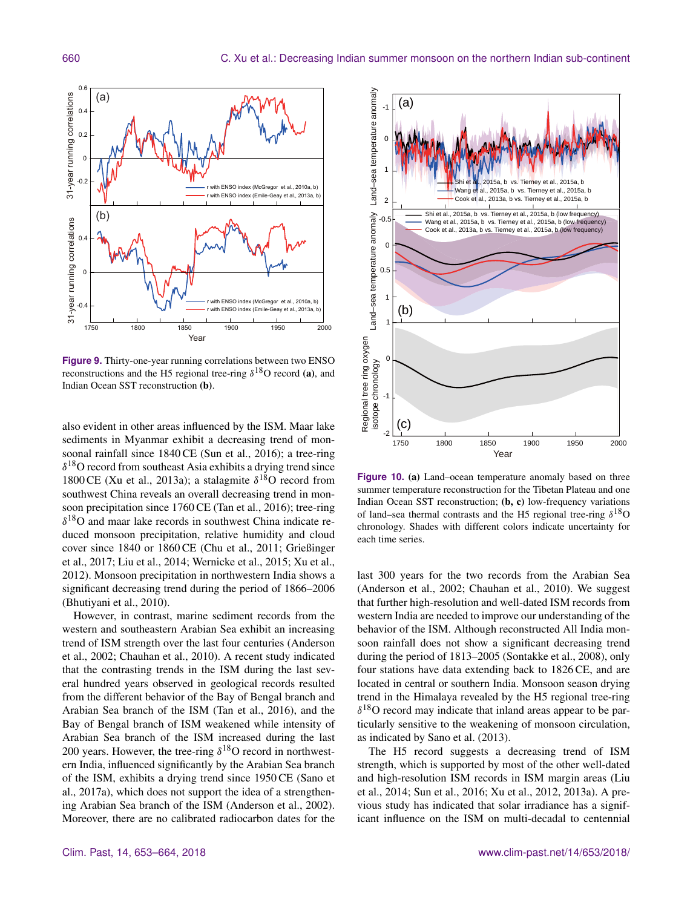

**Figure 9.** Thirty-one-year running correlations between two ENSO reconstructions and the H5 regional tree-ring  $\delta^{18}O$  record (a), and Indian Ocean SST reconstruction (b).

also evident in other areas influenced by the ISM. Maar lake sediments in Myanmar exhibit a decreasing trend of monsoonal rainfall since 1840 CE (Sun et al., 2016); a tree-ring  $\delta^{18}$ O record from southeast Asia exhibits a drying trend since 1800 CE (Xu et al., 2013a); a stalagmite  $\delta^{18}$ O record from southwest China reveals an overall decreasing trend in monsoon precipitation since 1760 CE (Tan et al., 2016); tree-ring  $\delta^{18}$ O and maar lake records in southwest China indicate reduced monsoon precipitation, relative humidity and cloud cover since 1840 or 1860 CE (Chu et al., 2011; Grießinger et al., 2017; Liu et al., 2014; Wernicke et al., 2015; Xu et al., 2012). Monsoon precipitation in northwestern India shows a significant decreasing trend during the period of 1866–2006 (Bhutiyani et al., 2010).

However, in contrast, marine sediment records from the western and southeastern Arabian Sea exhibit an increasing trend of ISM strength over the last four centuries (Anderson et al., 2002; Chauhan et al., 2010). A recent study indicated that the contrasting trends in the ISM during the last several hundred years observed in geological records resulted from the different behavior of the Bay of Bengal branch and Arabian Sea branch of the ISM (Tan et al., 2016), and the Bay of Bengal branch of ISM weakened while intensity of Arabian Sea branch of the ISM increased during the last 200 years. However, the tree-ring  $\delta^{18}$ O record in northwestern India, influenced significantly by the Arabian Sea branch of the ISM, exhibits a drying trend since 1950 CE (Sano et al., 2017a), which does not support the idea of a strengthening Arabian Sea branch of the ISM (Anderson et al., 2002). Moreover, there are no calibrated radiocarbon dates for the



**Figure 10.** (a) Land–ocean temperature anomaly based on three summer temperature reconstruction for the Tibetan Plateau and one Indian Ocean SST reconstruction; (b, c) low-frequency variations of land–sea thermal contrasts and the H5 regional tree-ring  $\delta^{18}O$ chronology. Shades with different colors indicate uncertainty for each time series.

last 300 years for the two records from the Arabian Sea (Anderson et al., 2002; Chauhan et al., 2010). We suggest that further high-resolution and well-dated ISM records from western India are needed to improve our understanding of the behavior of the ISM. Although reconstructed All India monsoon rainfall does not show a significant decreasing trend during the period of 1813–2005 (Sontakke et al., 2008), only four stations have data extending back to 1826 CE, and are located in central or southern India. Monsoon season drying trend in the Himalaya revealed by the H5 regional tree-ring  $\delta^{18}$ O record may indicate that inland areas appear to be particularly sensitive to the weakening of monsoon circulation, as indicated by Sano et al. (2013).

The H5 record suggests a decreasing trend of ISM strength, which is supported by most of the other well-dated and high-resolution ISM records in ISM margin areas (Liu et al., 2014; Sun et al., 2016; Xu et al., 2012, 2013a). A previous study has indicated that solar irradiance has a significant influence on the ISM on multi-decadal to centennial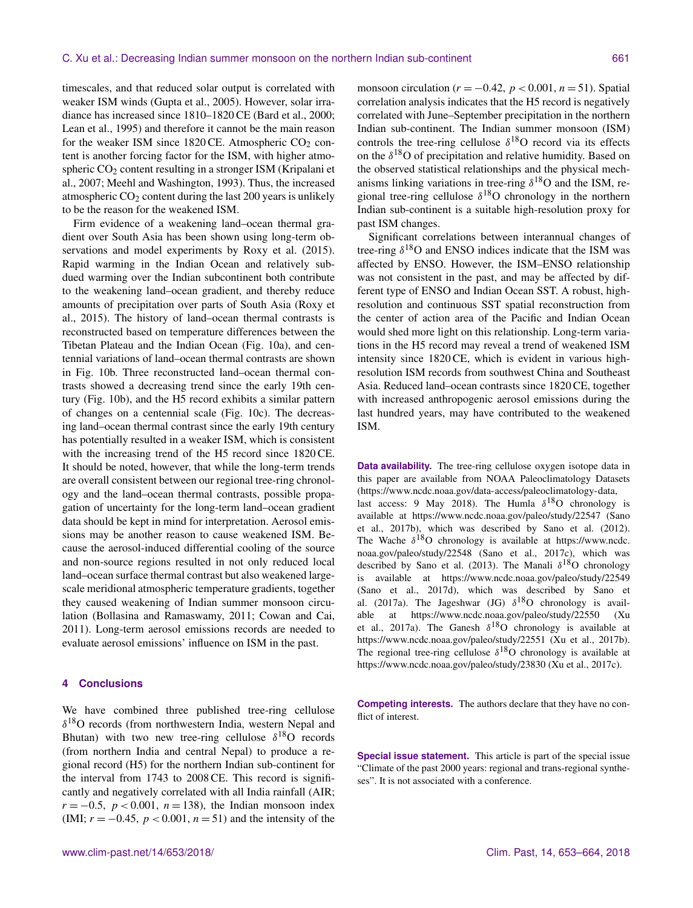timescales, and that reduced solar output is correlated with weaker ISM winds (Gupta et al., 2005). However, solar irradiance has increased since 1810–1820 CE (Bard et al., 2000; Lean et al., 1995) and therefore it cannot be the main reason for the weaker ISM since  $1820 \text{ CE}$ . Atmospheric  $CO<sub>2</sub>$  content is another forcing factor for the ISM, with higher atmospheric  $CO<sub>2</sub>$  content resulting in a stronger ISM (Kripalani et al., 2007; Meehl and Washington, 1993). Thus, the increased atmospheric  $CO<sub>2</sub>$  content during the last 200 years is unlikely to be the reason for the weakened ISM.

Firm evidence of a weakening land–ocean thermal gradient over South Asia has been shown using long-term observations and model experiments by Roxy et al. (2015). Rapid warming in the Indian Ocean and relatively subdued warming over the Indian subcontinent both contribute to the weakening land–ocean gradient, and thereby reduce amounts of precipitation over parts of South Asia (Roxy et al., 2015). The history of land–ocean thermal contrasts is reconstructed based on temperature differences between the Tibetan Plateau and the Indian Ocean (Fig. 10a), and centennial variations of land–ocean thermal contrasts are shown in Fig. 10b. Three reconstructed land–ocean thermal contrasts showed a decreasing trend since the early 19th century (Fig. 10b), and the H5 record exhibits a similar pattern of changes on a centennial scale (Fig. 10c). The decreasing land–ocean thermal contrast since the early 19th century has potentially resulted in a weaker ISM, which is consistent with the increasing trend of the H5 record since 1820 CE. It should be noted, however, that while the long-term trends are overall consistent between our regional tree-ring chronology and the land–ocean thermal contrasts, possible propagation of uncertainty for the long-term land–ocean gradient data should be kept in mind for interpretation. Aerosol emissions may be another reason to cause weakened ISM. Because the aerosol-induced differential cooling of the source and non-source regions resulted in not only reduced local land–ocean surface thermal contrast but also weakened largescale meridional atmospheric temperature gradients, together they caused weakening of Indian summer monsoon circulation (Bollasina and Ramaswamy, 2011; Cowan and Cai, 2011). Long-term aerosol emissions records are needed to evaluate aerosol emissions' influence on ISM in the past.

## **4 Conclusions**

We have combined three published tree-ring cellulose  $\delta^{18}$ O records (from northwestern India, western Nepal and Bhutan) with two new tree-ring cellulose  $\delta^{18}O$  records (from northern India and central Nepal) to produce a regional record (H5) for the northern Indian sub-continent for the interval from 1743 to 2008 CE. This record is significantly and negatively correlated with all India rainfall (AIR;  $r = -0.5$ ,  $p < 0.001$ ,  $n = 138$ ), the Indian monsoon index (IMI;  $r = -0.45$ ,  $p < 0.001$ ,  $n = 51$ ) and the intensity of the monsoon circulation ( $r = -0.42$ ,  $p < 0.001$ ,  $n = 51$ ). Spatial correlation analysis indicates that the H5 record is negatively correlated with June–September precipitation in the northern Indian sub-continent. The Indian summer monsoon (ISM) controls the tree-ring cellulose  $\delta^{18}$ O record via its effects on the  $\delta^{18}$ O of precipitation and relative humidity. Based on the observed statistical relationships and the physical mechanisms linking variations in tree-ring  $\delta^{18}$ O and the ISM, regional tree-ring cellulose  $\delta^{18}$ O chronology in the northern Indian sub-continent is a suitable high-resolution proxy for past ISM changes.

Significant correlations between interannual changes of tree-ring  $\delta^{18}$ O and ENSO indices indicate that the ISM was affected by ENSO. However, the ISM–ENSO relationship was not consistent in the past, and may be affected by different type of ENSO and Indian Ocean SST. A robust, highresolution and continuous SST spatial reconstruction from the center of action area of the Pacific and Indian Ocean would shed more light on this relationship. Long-term variations in the H5 record may reveal a trend of weakened ISM intensity since 1820 CE, which is evident in various highresolution ISM records from southwest China and Southeast Asia. Reduced land–ocean contrasts since 1820 CE, together with increased anthropogenic aerosol emissions during the last hundred years, may have contributed to the weakened ISM.

**Data availability.** The tree-ring cellulose oxygen isotope data in this paper are available from NOAA Paleoclimatology Datasets [\(https://www.ncdc.noaa.gov/data-access/paleoclimatology-data,](https://www.ncdc.noaa.gov/data-access/paleoclimatology-data) last access: 9 May 2018). The Humla  $\delta^{18}$ O chronology is available at <https://www.ncdc.noaa.gov/paleo/study/22547> (Sano et al., 2017b), which was described by Sano et al. (2012). The Wache  $\delta^{18}O$  chronology is available at [https://www.ncdc.](https://www.ncdc.noaa.gov/paleo/study/22548) [noaa.gov/paleo/study/22548](https://www.ncdc.noaa.gov/paleo/study/22548) (Sano et al., 2017c), which was described by Sano et al. (2013). The Manali  $\delta^{18}O$  chronology is available at <https://www.ncdc.noaa.gov/paleo/study/22549> (Sano et al., 2017d), which was described by Sano et al. (2017a). The Jageshwar (JG)  $\delta^{18}O$  chronology is available at <https://www.ncdc.noaa.gov/paleo/study/22550> (Xu et al., 2017a). The Ganesh  $\delta^{18}O$  chronology is available at <https://www.ncdc.noaa.gov/paleo/study/22551> (Xu et al., 2017b). The regional tree-ring cellulose  $\delta^{18}$ O chronology is available at <https://www.ncdc.noaa.gov/paleo/study/23830> (Xu et al., 2017c).

**Competing interests.** The authors declare that they have no conflict of interest.

**Special issue statement.** This article is part of the special issue "Climate of the past 2000 years: regional and trans-regional syntheses". It is not associated with a conference.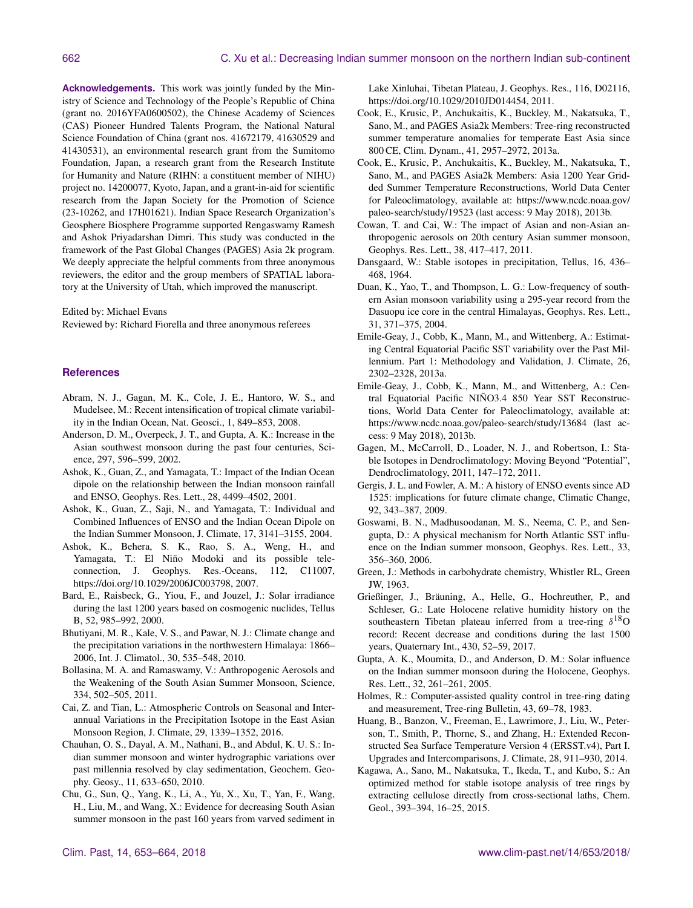**Acknowledgements.** This work was jointly funded by the Ministry of Science and Technology of the People's Republic of China (grant no. 2016YFA0600502), the Chinese Academy of Sciences (CAS) Pioneer Hundred Talents Program, the National Natural Science Foundation of China (grant nos. 41672179, 41630529 and 41430531), an environmental research grant from the Sumitomo Foundation, Japan, a research grant from the Research Institute for Humanity and Nature (RIHN: a constituent member of NIHU) project no. 14200077, Kyoto, Japan, and a grant-in-aid for scientific research from the Japan Society for the Promotion of Science (23-10262, and 17H01621). Indian Space Research Organization's Geosphere Biosphere Programme supported Rengaswamy Ramesh and Ashok Priyadarshan Dimri. This study was conducted in the framework of the Past Global Changes (PAGES) Asia 2k program. We deeply appreciate the helpful comments from three anonymous reviewers, the editor and the group members of SPATIAL laboratory at the University of Utah, which improved the manuscript.

Edited by: Michael Evans

Reviewed by: Richard Fiorella and three anonymous referees

#### **References**

- Abram, N. J., Gagan, M. K., Cole, J. E., Hantoro, W. S., and Mudelsee, M.: Recent intensification of tropical climate variability in the Indian Ocean, Nat. Geosci., 1, 849–853, 2008.
- Anderson, D. M., Overpeck, J. T., and Gupta, A. K.: Increase in the Asian southwest monsoon during the past four centuries, Science, 297, 596–599, 2002.
- Ashok, K., Guan, Z., and Yamagata, T.: Impact of the Indian Ocean dipole on the relationship between the Indian monsoon rainfall and ENSO, Geophys. Res. Lett., 28, 4499–4502, 2001.
- Ashok, K., Guan, Z., Saji, N., and Yamagata, T.: Individual and Combined Influences of ENSO and the Indian Ocean Dipole on the Indian Summer Monsoon, J. Climate, 17, 3141–3155, 2004.
- Ashok, K., Behera, S. K., Rao, S. A., Weng, H., and Yamagata, T.: El Niño Modoki and its possible teleconnection, J. Geophys. Res.-Oceans, 112, C11007, https://doi.org[/10.1029/2006JC003798,](https://doi.org/10.1029/2006JC003798) 2007.
- Bard, E., Raisbeck, G., Yiou, F., and Jouzel, J.: Solar irradiance during the last 1200 years based on cosmogenic nuclides, Tellus B, 52, 985–992, 2000.
- Bhutiyani, M. R., Kale, V. S., and Pawar, N. J.: Climate change and the precipitation variations in the northwestern Himalaya: 1866– 2006, Int. J. Climatol., 30, 535–548, 2010.
- Bollasina, M. A. and Ramaswamy, V.: Anthropogenic Aerosols and the Weakening of the South Asian Summer Monsoon, Science, 334, 502–505, 2011.
- Cai, Z. and Tian, L.: Atmospheric Controls on Seasonal and Interannual Variations in the Precipitation Isotope in the East Asian Monsoon Region, J. Climate, 29, 1339–1352, 2016.
- Chauhan, O. S., Dayal, A. M., Nathani, B., and Abdul, K. U. S.: Indian summer monsoon and winter hydrographic variations over past millennia resolved by clay sedimentation, Geochem. Geophy. Geosy., 11, 633–650, 2010.
- Chu, G., Sun, Q., Yang, K., Li, A., Yu, X., Xu, T., Yan, F., Wang, H., Liu, M., and Wang, X.: Evidence for decreasing South Asian summer monsoon in the past 160 years from varved sediment in

Lake Xinluhai, Tibetan Plateau, J. Geophys. Res., 116, D02116, https://doi.org[/10.1029/2010JD014454,](https://doi.org/10.1029/2010JD014454) 2011.

- Cook, E., Krusic, P., Anchukaitis, K., Buckley, M., Nakatsuka, T., Sano, M., and PAGES Asia2k Members: Tree-ring reconstructed summer temperature anomalies for temperate East Asia since 800 CE, Clim. Dynam., 41, 2957–2972, 2013a.
- Cook, E., Krusic, P., Anchukaitis, K., Buckley, M., Nakatsuka, T., Sano, M., and PAGES Asia2k Members: Asia 1200 Year Gridded Summer Temperature Reconstructions, World Data Center for Paleoclimatology, available at: [https://www.ncdc.noaa.gov/](https://www.ncdc.noaa.gov/paleo-search/study/19523) [paleo-search/study/19523](https://www.ncdc.noaa.gov/paleo-search/study/19523) (last access: 9 May 2018), 2013b.
- Cowan, T. and Cai, W.: The impact of Asian and non-Asian anthropogenic aerosols on 20th century Asian summer monsoon, Geophys. Res. Lett., 38, 417–417, 2011.
- Dansgaard, W.: Stable isotopes in precipitation, Tellus, 16, 436– 468, 1964.
- Duan, K., Yao, T., and Thompson, L. G.: Low-frequency of southern Asian monsoon variability using a 295-year record from the Dasuopu ice core in the central Himalayas, Geophys. Res. Lett., 31, 371–375, 2004.
- Emile-Geay, J., Cobb, K., Mann, M., and Wittenberg, A.: Estimating Central Equatorial Pacific SST variability over the Past Millennium. Part 1: Methodology and Validation, J. Climate, 26, 2302–2328, 2013a.
- Emile-Geay, J., Cobb, K., Mann, M., and Wittenberg, A.: Central Equatorial Pacific NIÑO3.4 850 Year SST Reconstructions, World Data Center for Paleoclimatology, available at: <https://www.ncdc.noaa.gov/paleo-search/study/13684> (last access: 9 May 2018), 2013b.
- Gagen, M., McCarroll, D., Loader, N. J., and Robertson, I.: Stable Isotopes in Dendroclimatology: Moving Beyond "Potential", Dendroclimatology, 2011, 147–172, 2011.
- Gergis, J. L. and Fowler, A. M.: A history of ENSO events since AD 1525: implications for future climate change, Climatic Change, 92, 343–387, 2009.
- Goswami, B. N., Madhusoodanan, M. S., Neema, C. P., and Sengupta, D.: A physical mechanism for North Atlantic SST influence on the Indian summer monsoon, Geophys. Res. Lett., 33, 356–360, 2006.
- Green, J.: Methods in carbohydrate chemistry, Whistler RL, Green JW, 1963.
- Grießinger, J., Bräuning, A., Helle, G., Hochreuther, P., and Schleser, G.: Late Holocene relative humidity history on the southeastern Tibetan plateau inferred from a tree-ring  $\delta^{18}$ O record: Recent decrease and conditions during the last 1500 years, Quaternary Int., 430, 52–59, 2017.
- Gupta, A. K., Moumita, D., and Anderson, D. M.: Solar influence on the Indian summer monsoon during the Holocene, Geophys. Res. Lett., 32, 261–261, 2005.
- Holmes, R.: Computer-assisted quality control in tree-ring dating and measurement, Tree-ring Bulletin, 43, 69–78, 1983.
- Huang, B., Banzon, V., Freeman, E., Lawrimore, J., Liu, W., Peterson, T., Smith, P., Thorne, S., and Zhang, H.: Extended Reconstructed Sea Surface Temperature Version 4 (ERSST.v4), Part I. Upgrades and Intercomparisons, J. Climate, 28, 911–930, 2014.
- Kagawa, A., Sano, M., Nakatsuka, T., Ikeda, T., and Kubo, S.: An optimized method for stable isotope analysis of tree rings by extracting cellulose directly from cross-sectional laths, Chem. Geol., 393–394, 16–25, 2015.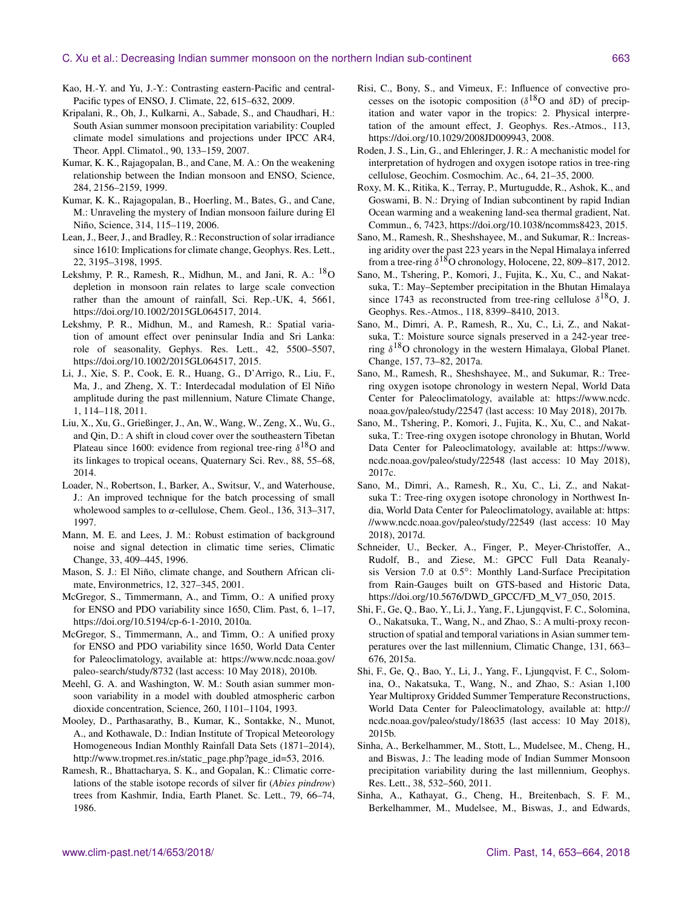- Kao, H.-Y. and Yu, J.-Y.: Contrasting eastern-Pacific and central-Pacific types of ENSO, J. Climate, 22, 615–632, 2009.
- Kripalani, R., Oh, J., Kulkarni, A., Sabade, S., and Chaudhari, H.: South Asian summer monsoon precipitation variability: Coupled climate model simulations and projections under IPCC AR4, Theor. Appl. Climatol., 90, 133–159, 2007.
- Kumar, K. K., Rajagopalan, B., and Cane, M. A.: On the weakening relationship between the Indian monsoon and ENSO, Science, 284, 2156–2159, 1999.
- Kumar, K. K., Rajagopalan, B., Hoerling, M., Bates, G., and Cane, M.: Unraveling the mystery of Indian monsoon failure during El Niño, Science, 314, 115–119, 2006.
- Lean, J., Beer, J., and Bradley, R.: Reconstruction of solar irradiance since 1610: Implications for climate change, Geophys. Res. Lett., 22, 3195–3198, 1995.
- Lekshmy, P. R., Ramesh, R., Midhun, M., and Jani, R. A.: <sup>18</sup>O depletion in monsoon rain relates to large scale convection rather than the amount of rainfall, Sci. Rep.-UK, 4, 5661, https://doi.org[/10.1002/2015GL064517,](https://doi.org/10.1002/2015GL064517) 2014.
- Lekshmy, P. R., Midhun, M., and Ramesh, R.: Spatial variation of amount effect over peninsular India and Sri Lanka: role of seasonality, Gephys. Res. Lett., 42, 5500–5507, https://doi.org[/10.1002/2015GL064517,](https://doi.org/10.1002/2015GL064517) 2015.
- Li, J., Xie, S. P., Cook, E. R., Huang, G., D'Arrigo, R., Liu, F., Ma, J., and Zheng, X. T.: Interdecadal modulation of El Niño amplitude during the past millennium, Nature Climate Change, 1, 114–118, 2011.
- Liu, X., Xu, G., Grießinger, J., An, W., Wang, W., Zeng, X., Wu, G., and Qin, D.: A shift in cloud cover over the southeastern Tibetan Plateau since 1600: evidence from regional tree-ring  $\delta^{18}O$  and its linkages to tropical oceans, Quaternary Sci. Rev., 88, 55–68, 2014.
- Loader, N., Robertson, I., Barker, A., Switsur, V., and Waterhouse, J.: An improved technique for the batch processing of small wholewood samples to  $\alpha$ -cellulose, Chem. Geol., 136, 313–317, 1997.
- Mann, M. E. and Lees, J. M.: Robust estimation of background noise and signal detection in climatic time series, Climatic Change, 33, 409–445, 1996.
- Mason, S. J.: El Niño, climate change, and Southern African climate, Environmetrics, 12, 327–345, 2001.
- McGregor, S., Timmermann, A., and Timm, O.: A unified proxy for ENSO and PDO variability since 1650, Clim. Past, 6, 1–17, https://doi.org[/10.5194/cp-6-1-2010,](https://doi.org/10.5194/cp-6-1-2010) 2010a.
- McGregor, S., Timmermann, A., and Timm, O.: A unified proxy for ENSO and PDO variability since 1650, World Data Center for Paleoclimatology, available at: [https://www.ncdc.noaa.gov/](https://www.ncdc.noaa.gov/paleo-search/study/8732) [paleo-search/study/8732](https://www.ncdc.noaa.gov/paleo-search/study/8732) (last access: 10 May 2018), 2010b.
- Meehl, G. A. and Washington, W. M.: South asian summer monsoon variability in a model with doubled atmospheric carbon dioxide concentration, Science, 260, 1101–1104, 1993.
- Mooley, D., Parthasarathy, B., Kumar, K., Sontakke, N., Munot, A., and Kothawale, D.: Indian Institute of Tropical Meteorology Homogeneous Indian Monthly Rainfall Data Sets (1871–2014), [http://www.tropmet.res.in/static\\_page.php?page\\_id=53,](http://www.tropmet.res.in/static_page.php?page_id=53) 2016.
- Ramesh, R., Bhattacharya, S. K., and Gopalan, K.: Climatic correlations of the stable isotope records of silver fir (*Abies pindrow*) trees from Kashmir, India, Earth Planet. Sc. Lett., 79, 66–74, 1986.
- Risi, C., Bony, S., and Vimeux, F.: Influence of convective processes on the isotopic composition ( $\delta^{18}$ O and  $\delta$ D) of precipitation and water vapor in the tropics: 2. Physical interpretation of the amount effect, J. Geophys. Res.-Atmos., 113, https://doi.org[/10.1029/2008JD009943,](https://doi.org/10.1029/2008JD009943) 2008.
- Roden, J. S., Lin, G., and Ehleringer, J. R.: A mechanistic model for interpretation of hydrogen and oxygen isotope ratios in tree-ring cellulose, Geochim. Cosmochim. Ac., 64, 21–35, 2000.
- Roxy, M. K., Ritika, K., Terray, P., Murtugudde, R., Ashok, K., and Goswami, B. N.: Drying of Indian subcontinent by rapid Indian Ocean warming and a weakening land-sea thermal gradient, Nat. Commun., 6, 7423, https://doi.org[/10.1038/ncomms8423,](https://doi.org/10.1038/ncomms8423) 2015.
- Sano, M., Ramesh, R., Sheshshayee, M., and Sukumar, R.: Increasing aridity over the past 223 years in the Nepal Himalaya inferred from a tree-ring  $\delta^{18}$ O chronology, Holocene, 22, 809–817, 2012.
- Sano, M., Tshering, P., Komori, J., Fujita, K., Xu, C., and Nakatsuka, T.: May–September precipitation in the Bhutan Himalaya since 1743 as reconstructed from tree-ring cellulose  $\delta^{18}O$ , J. Geophys. Res.-Atmos., 118, 8399–8410, 2013.
- Sano, M., Dimri, A. P., Ramesh, R., Xu, C., Li, Z., and Nakatsuka, T.: Moisture source signals preserved in a 242-year treering  $\delta^{18}$ O chronology in the western Himalaya, Global Planet. Change, 157, 73–82, 2017a.
- Sano, M., Ramesh, R., Sheshshayee, M., and Sukumar, R.: Treering oxygen isotope chronology in western Nepal, World Data Center for Paleoclimatology, available at: [https://www.ncdc.](https://www.ncdc.noaa.gov/paleo/study/22547) [noaa.gov/paleo/study/22547](https://www.ncdc.noaa.gov/paleo/study/22547) (last access: 10 May 2018), 2017b.
- Sano, M., Tshering, P., Komori, J., Fujita, K., Xu, C., and Nakatsuka, T.: Tree-ring oxygen isotope chronology in Bhutan, World Data Center for Paleoclimatology, available at: [https://www.](https://www.ncdc.noaa.gov/paleo/study/22548) [ncdc.noaa.gov/paleo/study/22548](https://www.ncdc.noaa.gov/paleo/study/22548) (last access: 10 May 2018), 2017c.
- Sano, M., Dimri, A., Ramesh, R., Xu, C., Li, Z., and Nakatsuka T.: Tree-ring oxygen isotope chronology in Northwest India, World Data Center for Paleoclimatology, available at: [https:](https://www.ncdc.noaa.gov/paleo/study/22549) [//www.ncdc.noaa.gov/paleo/study/22549](https://www.ncdc.noaa.gov/paleo/study/22549) (last access: 10 May 2018), 2017d.
- Schneider, U., Becker, A., Finger, P., Meyer-Christoffer, A., Rudolf, B., and Ziese, M.: GPCC Full Data Reanalysis Version 7.0 at 0.5°: Monthly Land-Surface Precipitation from Rain-Gauges built on GTS-based and Historic Data, https://doi.org[/10.5676/DWD\\_GPCC/FD\\_M\\_V7\\_050,](https://doi.org/10.5676/DWD_GPCC/FD_M_V7_050) 2015.
- Shi, F., Ge, Q., Bao, Y., Li, J., Yang, F., Ljungqvist, F. C., Solomina, O., Nakatsuka, T., Wang, N., and Zhao, S.: A multi-proxy reconstruction of spatial and temporal variations in Asian summer temperatures over the last millennium, Climatic Change, 131, 663– 676, 2015a.
- Shi, F., Ge, Q., Bao, Y., Li, J., Yang, F., Ljungqvist, F. C., Solomina, O., Nakatsuka, T., Wang, N., and Zhao, S.: Asian 1,100 Year Multiproxy Gridded Summer Temperature Reconstructions, World Data Center for Paleoclimatology, available at: [http://](http://ncdc.noaa.gov/paleo/study/18635) [ncdc.noaa.gov/paleo/study/18635](http://ncdc.noaa.gov/paleo/study/18635) (last access: 10 May 2018), 2015b.
- Sinha, A., Berkelhammer, M., Stott, L., Mudelsee, M., Cheng, H., and Biswas, J.: The leading mode of Indian Summer Monsoon precipitation variability during the last millennium, Geophys. Res. Lett., 38, 532–560, 2011.
- Sinha, A., Kathayat, G., Cheng, H., Breitenbach, S. F. M., Berkelhammer, M., Mudelsee, M., Biswas, J., and Edwards,